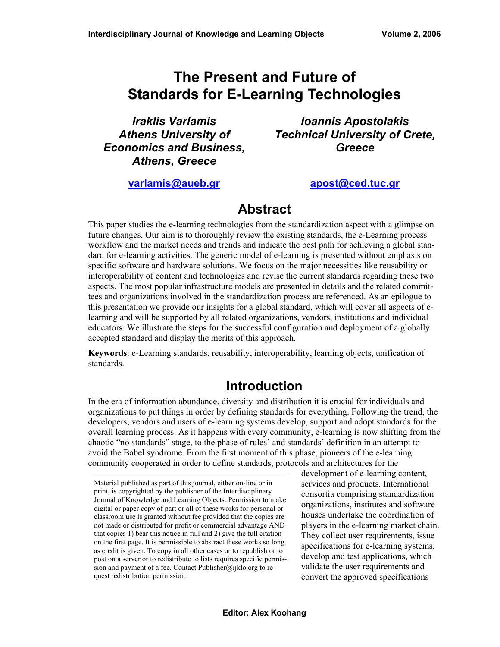# **The Present and Future of Standards for E-Learning Technologies**

*Iraklis Varlamis Athens University of Economics and Business, Athens, Greece* 

*Ioannis Apostolakis Technical University of Crete, Greece* 

**varlamis@aueb.gr**

**apost@ced.tuc.gr**

### **Abstract**

This paper studies the e-learning technologies from the standardization aspect with a glimpse on future changes. Our aim is to thoroughly review the existing standards, the e-Learning process workflow and the market needs and trends and indicate the best path for achieving a global standard for e-learning activities. The generic model of e-learning is presented without emphasis on specific software and hardware solutions. We focus on the major necessities like reusability or interoperability of content and technologies and revise the current standards regarding these two aspects. The most popular infrastructure models are presented in details and the related committees and organizations involved in the standardization process are referenced. As an epilogue to this presentation we provide our insights for a global standard, which will cover all aspects of elearning and will be supported by all related organizations, vendors, institutions and individual educators. We illustrate the steps for the successful configuration and deployment of a globally accepted standard and display the merits of this approach.

**Keywords**: e-Learning standards, reusability, interoperability, learning objects, unification of standards.

# **Introduction**

In the era of information abundance, diversity and distribution it is crucial for individuals and organizations to put things in order by defining standards for everything. Following the trend, the developers, vendors and users of e-learning systems develop, support and adopt standards for the overall learning process. As it happens with every community, e-learning is now shifting from the chaotic "no standards" stage, to the phase of rules' and standards' definition in an attempt to avoid the Babel syndrome. From the first moment of this phase, pioneers of the e-learning community cooperated in order to define standards, protocols and architectures for the

development of e-learning content, services and products. International consortia comprising standardization organizations, institutes and software houses undertake the coordination of players in the e-learning market chain. They collect user requirements, issue specifications for e-learning systems, develop and test applications, which validate the user requirements and convert the approved specifications

Material published as part of this journal, either on-line or in print, is copyrighted by the publisher of the Interdisciplinary Journal of Knowledge and Learning Objects. Permission to make digital or paper copy of part or all of these works for personal or classroom use is granted without fee provided that the copies are not made or distributed for profit or commercial advantage AND that copies 1) bear this notice in full and 2) give the full citation on the first page. It is permissible to abstract these works so long as credit is given. To copy in all other cases or to republish or to post on a server or to redistribute to lists requires specific permission and payment of a fee. Contact Publisher@ijklo.org to request redistribution permission.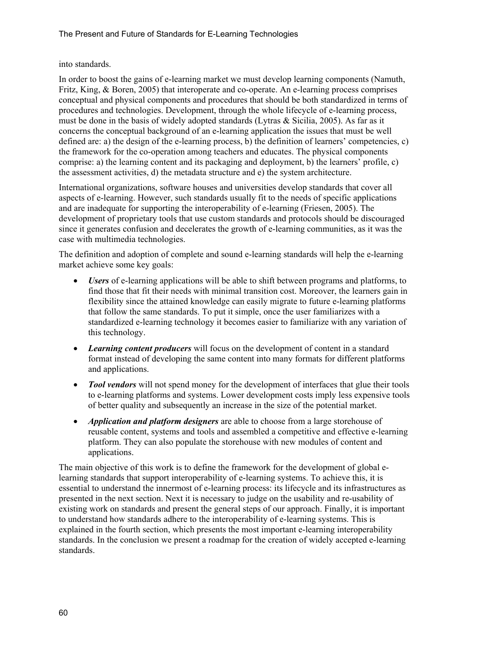#### into standards.

In order to boost the gains of e-learning market we must develop learning components (Namuth, Fritz, King, & Boren, 2005) that interoperate and co-operate. An e-learning process comprises conceptual and physical components and procedures that should be both standardized in terms of procedures and technologies. Development, through the whole lifecycle of e-learning process, must be done in the basis of widely adopted standards (Lytras & Sicilia, 2005). As far as it concerns the conceptual background of an e-learning application the issues that must be well defined are: a) the design of the e-learning process, b) the definition of learners' competencies, c) the framework for the co-operation among teachers and educates. The physical components comprise: a) the learning content and its packaging and deployment, b) the learners' profile, c) the assessment activities, d) the metadata structure and e) the system architecture.

International organizations, software houses and universities develop standards that cover all aspects of e-learning. However, such standards usually fit to the needs of specific applications and are inadequate for supporting the interoperability of e-learning (Friesen, 2005). The development of proprietary tools that use custom standards and protocols should be discouraged since it generates confusion and decelerates the growth of e-learning communities, as it was the case with multimedia technologies.

The definition and adoption of complete and sound e-learning standards will help the e-learning market achieve some key goals:

- *Users* of e-learning applications will be able to shift between programs and platforms, to find those that fit their needs with minimal transition cost. Moreover, the learners gain in flexibility since the attained knowledge can easily migrate to future e-learning platforms that follow the same standards. To put it simple, once the user familiarizes with a standardized e-learning technology it becomes easier to familiarize with any variation of this technology.
- *Learning content producers* will focus on the development of content in a standard format instead of developing the same content into many formats for different platforms and applications.
- *Tool vendors* will not spend money for the development of interfaces that glue their tools to e-learning platforms and systems. Lower development costs imply less expensive tools of better quality and subsequently an increase in the size of the potential market.
- *Application and platform designers* are able to choose from a large storehouse of reusable content, systems and tools and assembled a competitive and effective e-learning platform. They can also populate the storehouse with new modules of content and applications.

The main objective of this work is to define the framework for the development of global elearning standards that support interoperability of e-learning systems. To achieve this, it is essential to understand the innermost of e-learning process: its lifecycle and its infrastructures as presented in the next section. Next it is necessary to judge on the usability and re-usability of existing work on standards and present the general steps of our approach. Finally, it is important to understand how standards adhere to the interoperability of e-learning systems. This is explained in the fourth section, which presents the most important e-learning interoperability standards. In the conclusion we present a roadmap for the creation of widely accepted e-learning standards.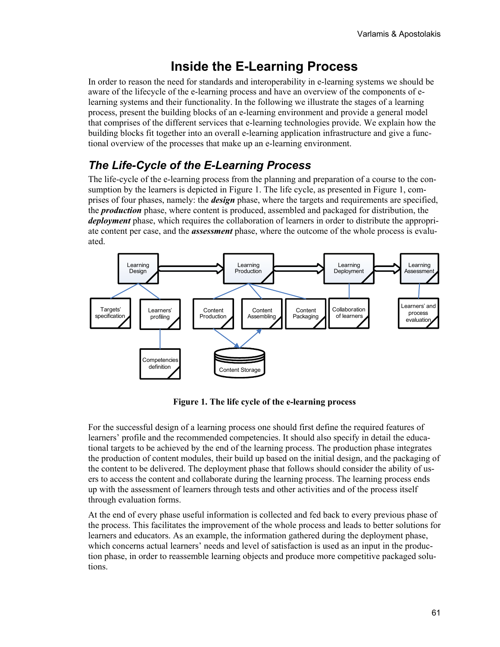# **Inside the E-Learning Process**

In order to reason the need for standards and interoperability in e-learning systems we should be aware of the lifecycle of the e-learning process and have an overview of the components of elearning systems and their functionality. In the following we illustrate the stages of a learning process, present the building blocks of an e-learning environment and provide a general model that comprises of the different services that e-learning technologies provide. We explain how the building blocks fit together into an overall e-learning application infrastructure and give a functional overview of the processes that make up an e-learning environment.

# *The Life-Cycle of the E-Learning Process*

The life-cycle of the e-learning process from the planning and preparation of a course to the consumption by the learners is depicted in Figure 1. The life cycle, as presented in Figure 1, comprises of four phases, namely: the *design* phase, where the targets and requirements are specified, the *production* phase, where content is produced, assembled and packaged for distribution, the *deployment* phase, which requires the collaboration of learners in order to distribute the appropriate content per case, and the *assessment* phase, where the outcome of the whole process is evaluated.



**Figure 1. The life cycle of the e-learning process** 

For the successful design of a learning process one should first define the required features of learners' profile and the recommended competencies. It should also specify in detail the educational targets to be achieved by the end of the learning process. The production phase integrates the production of content modules, their build up based on the initial design, and the packaging of the content to be delivered. The deployment phase that follows should consider the ability of users to access the content and collaborate during the learning process. The learning process ends up with the assessment of learners through tests and other activities and of the process itself through evaluation forms.

At the end of every phase useful information is collected and fed back to every previous phase of the process. This facilitates the improvement of the whole process and leads to better solutions for learners and educators. As an example, the information gathered during the deployment phase, which concerns actual learners' needs and level of satisfaction is used as an input in the production phase, in order to reassemble learning objects and produce more competitive packaged solutions.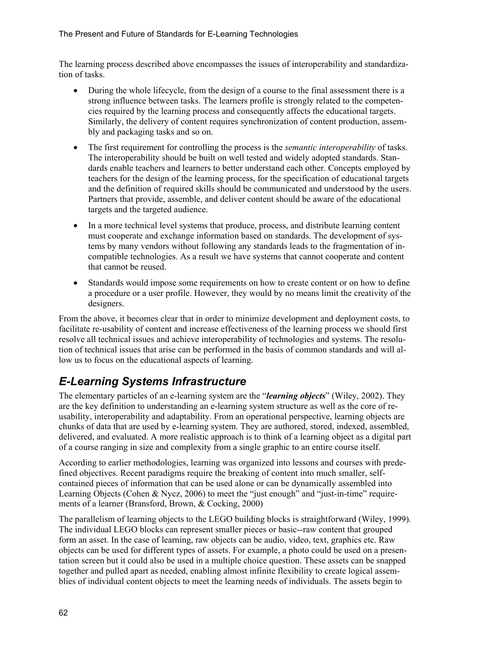The learning process described above encompasses the issues of interoperability and standardization of tasks.

- During the whole lifecycle, from the design of a course to the final assessment there is a strong influence between tasks. The learners profile is strongly related to the competencies required by the learning process and consequently affects the educational targets. Similarly, the delivery of content requires synchronization of content production, assembly and packaging tasks and so on.
- The first requirement for controlling the process is the *semantic interoperability* of tasks. The interoperability should be built on well tested and widely adopted standards. Standards enable teachers and learners to better understand each other. Concepts employed by teachers for the design of the learning process, for the specification of educational targets and the definition of required skills should be communicated and understood by the users. Partners that provide, assemble, and deliver content should be aware of the educational targets and the targeted audience.
- In a more technical level systems that produce, process, and distribute learning content must cooperate and exchange information based on standards. The development of systems by many vendors without following any standards leads to the fragmentation of incompatible technologies. As a result we have systems that cannot cooperate and content that cannot be reused.
- Standards would impose some requirements on how to create content or on how to define a procedure or a user profile. However, they would by no means limit the creativity of the designers.

From the above, it becomes clear that in order to minimize development and deployment costs, to facilitate re-usability of content and increase effectiveness of the learning process we should first resolve all technical issues and achieve interoperability of technologies and systems. The resolution of technical issues that arise can be performed in the basis of common standards and will allow us to focus on the educational aspects of learning.

# *E-Learning Systems Infrastructure*

The elementary particles of an e-learning system are the "*learning objects*" (Wiley, 2002). They are the key definition to understanding an e-learning system structure as well as the core of reusability, interoperability and adaptability. From an operational perspective, learning objects are chunks of data that are used by e-learning system. They are authored, stored, indexed, assembled, delivered, and evaluated. A more realistic approach is to think of a learning object as a digital part of a course ranging in size and complexity from a single graphic to an entire course itself.

According to earlier methodologies, learning was organized into lessons and courses with predefined objectives. Recent paradigms require the breaking of content into much smaller, selfcontained pieces of information that can be used alone or can be dynamically assembled into Learning Objects (Cohen & Nycz, 2006) to meet the "just enough" and "just-in-time" requirements of a learner (Bransford, Brown, & Cocking, 2000)

The parallelism of learning objects to the LEGO building blocks is straightforward (Wiley, 1999). The individual LEGO blocks can represent smaller pieces or basic--raw content that grouped form an asset. In the case of learning, raw objects can be audio, video, text, graphics etc. Raw objects can be used for different types of assets. For example, a photo could be used on a presentation screen but it could also be used in a multiple choice question. These assets can be snapped together and pulled apart as needed, enabling almost infinite flexibility to create logical assemblies of individual content objects to meet the learning needs of individuals. The assets begin to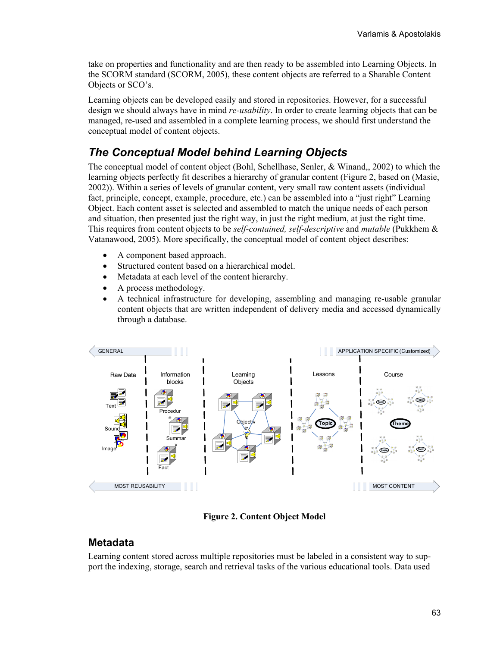take on properties and functionality and are then ready to be assembled into Learning Objects. In the SCORM standard (SCORM, 2005), these content objects are referred to a Sharable Content Objects or SCO's.

Learning objects can be developed easily and stored in repositories. However, for a successful design we should always have in mind *re-usability*. In order to create learning objects that can be managed, re-used and assembled in a complete learning process, we should first understand the conceptual model of content objects.

### *The Conceptual Model behind Learning Objects*

The conceptual model of content object (Bohl, Schellhase, Senler, & Winand,, 2002) to which the learning objects perfectly fit describes a hierarchy of granular content (Figure 2, based on (Masie, 2002)). Within a series of levels of granular content, very small raw content assets (individual fact, principle, concept, example, procedure, etc.) can be assembled into a "just right" Learning Object. Each content asset is selected and assembled to match the unique needs of each person and situation, then presented just the right way, in just the right medium, at just the right time. This requires from content objects to be *self-contained, self-descriptive* and *mutable* (Pukkhem & Vatanawood, 2005). More specifically, the conceptual model of content object describes:

- A component based approach.
- Structured content based on a hierarchical model.
- Metadata at each level of the content hierarchy.
- A process methodology.
- A technical infrastructure for developing, assembling and managing re-usable granular content objects that are written independent of delivery media and accessed dynamically through a database.



**Figure 2. Content Object Model** 

#### **Metadata**

Learning content stored across multiple repositories must be labeled in a consistent way to support the indexing, storage, search and retrieval tasks of the various educational tools. Data used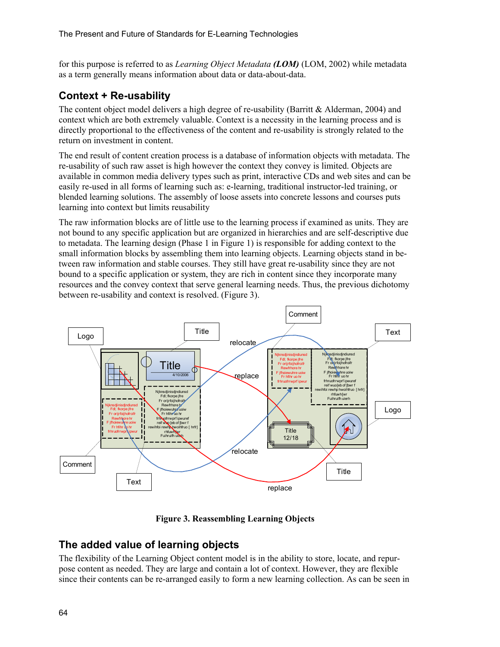for this purpose is referred to as *Learning Object Metadata (LOM)* (LOM, 2002) while metadata as a term generally means information about data or data-about-data.

#### **Context + Re-usability**

The content object model delivers a high degree of re-usability (Barritt & Alderman, 2004) and context which are both extremely valuable. Context is a necessity in the learning process and is directly proportional to the effectiveness of the content and re-usability is strongly related to the return on investment in content.

The end result of content creation process is a database of information objects with metadata. The re-usability of such raw asset is high however the context they convey is limited. Objects are available in common media delivery types such as print, interactive CDs and web sites and can be easily re-used in all forms of learning such as: e-learning, traditional instructor-led training, or blended learning solutions. The assembly of loose assets into concrete lessons and courses puts learning into context but limits reusability

The raw information blocks are of little use to the learning process if examined as units. They are not bound to any specific application but are organized in hierarchies and are self-descriptive due to metadata. The learning design (Phase 1 in Figure 1) is responsible for adding context to the small information blocks by assembling them into learning objects. Learning objects stand in between raw information and stable courses. They still have great re-usability since they are not bound to a specific application or system, they are rich in content since they incorporate many resources and the convey context that serve general learning needs. Thus, the previous dichotomy between re-usability and context is resolved. (Figure 3).



**Figure 3. Reassembling Learning Objects** 

#### **The added value of learning objects**

The flexibility of the Learning Object content model is in the ability to store, locate, and repurpose content as needed. They are large and contain a lot of context. However, they are flexible since their contents can be re-arranged easily to form a new learning collection. As can be seen in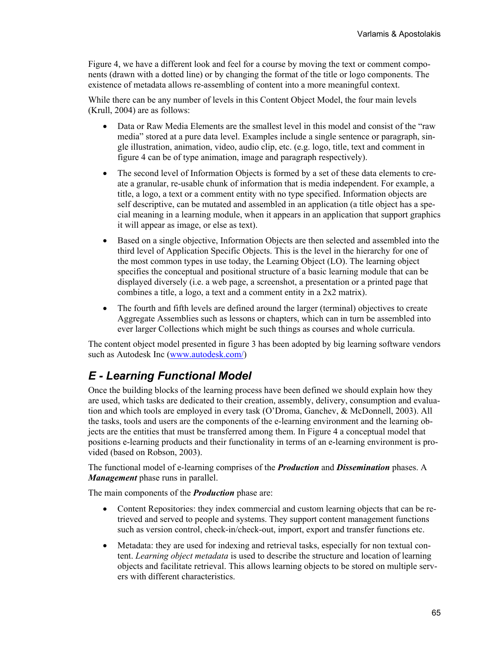Figure 4, we have a different look and feel for a course by moving the text or comment components (drawn with a dotted line) or by changing the format of the title or logo components. The existence of metadata allows re-assembling of content into a more meaningful context.

While there can be any number of levels in this Content Object Model, the four main levels (Krull, 2004) are as follows:

- Data or Raw Media Elements are the smallest level in this model and consist of the "raw media" stored at a pure data level. Examples include a single sentence or paragraph, single illustration, animation, video, audio clip, etc. (e.g. logo, title, text and comment in figure 4 can be of type animation, image and paragraph respectively).
- The second level of Information Objects is formed by a set of these data elements to create a granular, re-usable chunk of information that is media independent. For example, a title, a logo, a text or a comment entity with no type specified. Information objects are self descriptive, can be mutated and assembled in an application (a title object has a special meaning in a learning module, when it appears in an application that support graphics it will appear as image, or else as text).
- Based on a single objective, Information Objects are then selected and assembled into the third level of Application Specific Objects. This is the level in the hierarchy for one of the most common types in use today, the Learning Object (LO). The learning object specifies the conceptual and positional structure of a basic learning module that can be displayed diversely (i.e. a web page, a screenshot, a presentation or a printed page that combines a title, a logo, a text and a comment entity in a 2x2 matrix).
- The fourth and fifth levels are defined around the larger (terminal) objectives to create Aggregate Assemblies such as lessons or chapters, which can in turn be assembled into ever larger Collections which might be such things as courses and whole curricula.

The content object model presented in figure 3 has been adopted by big learning software vendors such as Autodesk Inc (www.autodesk.com/)

### *E - Learning Functional Model*

Once the building blocks of the learning process have been defined we should explain how they are used, which tasks are dedicated to their creation, assembly, delivery, consumption and evaluation and which tools are employed in every task (O'Droma, Ganchev, & McDonnell, 2003). All the tasks, tools and users are the components of the e-learning environment and the learning objects are the entities that must be transferred among them. In Figure 4 a conceptual model that positions e-learning products and their functionality in terms of an e-learning environment is provided (based on Robson, 2003).

The functional model of e-learning comprises of the *Production* and *Dissemination* phases. A *Management* phase runs in parallel.

The main components of the *Production* phase are:

- Content Repositories: they index commercial and custom learning objects that can be retrieved and served to people and systems. They support content management functions such as version control, check-in/check-out, import, export and transfer functions etc.
- Metadata: they are used for indexing and retrieval tasks, especially for non textual content. *Learning object metadata* is used to describe the structure and location of learning objects and facilitate retrieval. This allows learning objects to be stored on multiple servers with different characteristics.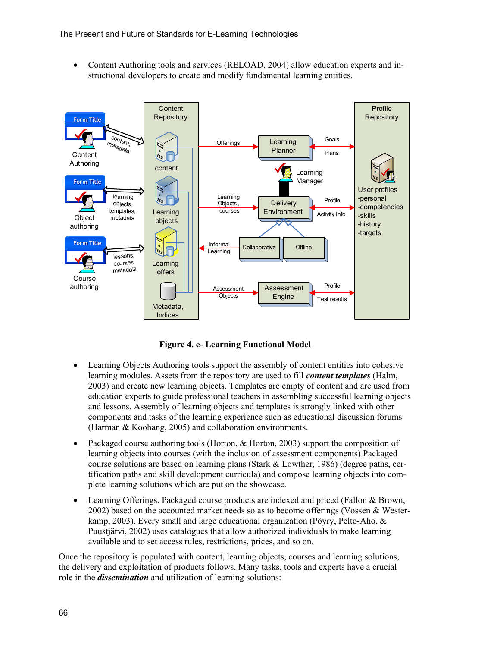• Content Authoring tools and services (RELOAD, 2004) allow education experts and instructional developers to create and modify fundamental learning entities.



**Figure 4. e- Learning Functional Model** 

- Learning Objects Authoring tools support the assembly of content entities into cohesive learning modules. Assets from the repository are used to fill *content templates* (Halm, 2003) and create new learning objects. Templates are empty of content and are used from education experts to guide professional teachers in assembling successful learning objects and lessons. Assembly of learning objects and templates is strongly linked with other components and tasks of the learning experience such as educational discussion forums (Harman & Koohang, 2005) and collaboration environments.
- Packaged course authoring tools (Horton,  $\&$  Horton, 2003) support the composition of learning objects into courses (with the inclusion of assessment components) Packaged course solutions are based on learning plans (Stark & Lowther, 1986) (degree paths, certification paths and skill development curricula) and compose learning objects into complete learning solutions which are put on the showcase.
- Learning Offerings. Packaged course products are indexed and priced (Fallon & Brown, 2002) based on the accounted market needs so as to become offerings (Vossen & Westerkamp, 2003). Every small and large educational organization (Pöyry, Pelto-Aho, & Puustjärvi, 2002) uses catalogues that allow authorized individuals to make learning available and to set access rules, restrictions, prices, and so on.

Once the repository is populated with content, learning objects, courses and learning solutions, the delivery and exploitation of products follows. Many tasks, tools and experts have a crucial role in the *dissemination* and utilization of learning solutions: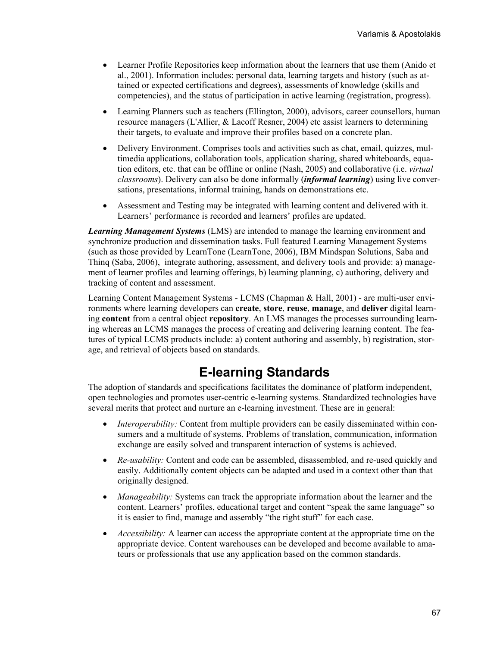- Learner Profile Repositories keep information about the learners that use them (Anido et al., 2001). Information includes: personal data, learning targets and history (such as attained or expected certifications and degrees), assessments of knowledge (skills and competencies), and the status of participation in active learning (registration, progress).
- Learning Planners such as teachers (Ellington, 2000), advisors, career counsellors, human resource managers (L'Allier, & Lacoff Resner, 2004) etc assist learners to determining their targets, to evaluate and improve their profiles based on a concrete plan.
- Delivery Environment. Comprises tools and activities such as chat, email, quizzes, multimedia applications, collaboration tools, application sharing, shared whiteboards, equation editors, etc. that can be offline or online (Nash, 2005) and collaborative (i.e. *virtual classrooms*). Delivery can also be done informally (*informal learning*) using live conversations, presentations, informal training, hands on demonstrations etc.
- Assessment and Testing may be integrated with learning content and delivered with it. Learners' performance is recorded and learners' profiles are updated.

*Learning Management Systems* (LMS) are intended to manage the learning environment and synchronize production and dissemination tasks. Full featured Learning Management Systems (such as those provided by LearnTone (LearnTone, 2006), IBM Mindspan Solutions, Saba and Thinq (Saba, 2006), integrate authoring, assessment, and delivery tools and provide: a) management of learner profiles and learning offerings, b) learning planning, c) authoring, delivery and tracking of content and assessment.

Learning Content Management Systems - LCMS (Chapman & Hall, 2001) - are multi-user environments where learning developers can **create**, **store**, **reuse**, **manage**, and **deliver** digital learning **content** from a central object **repository**. An LMS manages the processes surrounding learning whereas an LCMS manages the process of creating and delivering learning content. The features of typical LCMS products include: a) content authoring and assembly, b) registration, storage, and retrieval of objects based on standards.

# **E-learning Standards**

The adoption of standards and specifications facilitates the dominance of platform independent, open technologies and promotes user-centric e-learning systems. Standardized technologies have several merits that protect and nurture an e-learning investment. These are in general:

- *Interoperability:* Content from multiple providers can be easily disseminated within consumers and a multitude of systems. Problems of translation, communication, information exchange are easily solved and transparent interaction of systems is achieved.
- *Re-usability:* Content and code can be assembled, disassembled, and re-used quickly and easily. Additionally content objects can be adapted and used in a context other than that originally designed.
- *Manageability:* Systems can track the appropriate information about the learner and the content. Learners' profiles, educational target and content "speak the same language" so it is easier to find, manage and assembly "the right stuff" for each case.
- *Accessibility:* A learner can access the appropriate content at the appropriate time on the appropriate device. Content warehouses can be developed and become available to amateurs or professionals that use any application based on the common standards.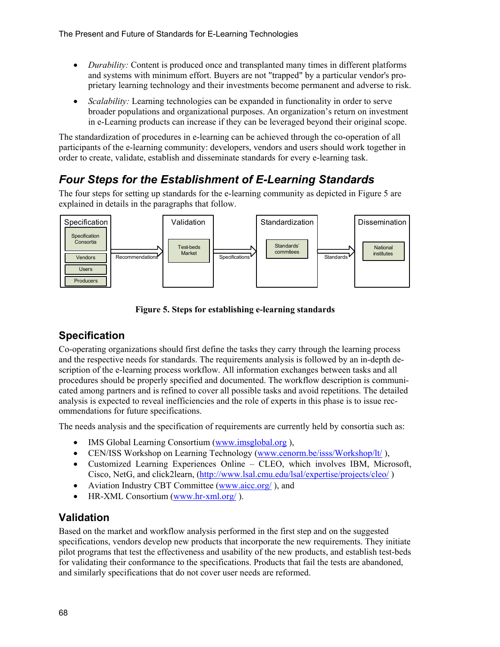- *Durability:* Content is produced once and transplanted many times in different platforms and systems with minimum effort. Buyers are not "trapped" by a particular vendor's proprietary learning technology and their investments become permanent and adverse to risk.
- *Scalability:* Learning technologies can be expanded in functionality in order to serve broader populations and organizational purposes. An organization's return on investment in e-Learning products can increase if they can be leveraged beyond their original scope.

The standardization of procedures in e-learning can be achieved through the co-operation of all participants of the e-learning community: developers, vendors and users should work together in order to create, validate, establish and disseminate standards for every e-learning task.

# *Four Steps for the Establishment of E-Learning Standards*

The four steps for setting up standards for the e-learning community as depicted in Figure 5 are explained in details in the paragraphs that follow.



**Figure 5. Steps for establishing e-learning standards** 

### **Specification**

Co-operating organizations should first define the tasks they carry through the learning process and the respective needs for standards. The requirements analysis is followed by an in-depth description of the e-learning process workflow. All information exchanges between tasks and all procedures should be properly specified and documented. The workflow description is communicated among partners and is refined to cover all possible tasks and avoid repetitions. The detailed analysis is expected to reveal inefficiencies and the role of experts in this phase is to issue recommendations for future specifications.

The needs analysis and the specification of requirements are currently held by consortia such as:

- IMS Global Learning Consortium (www.imsglobal.org),
- CEN/ISS Workshop on Learning Technology (www.cenorm.be/isss/Workshop/lt/),
- Customized Learning Experiences Online CLEO, which involves IBM, Microsoft, Cisco, NetG, and click2learn, (http://www.lsal.cmu.edu/lsal/expertise/projects/cleo/ )
- Aviation Industry CBT Committee (www.aicc.org/), and
- HR-XML Consortium (www.hr-xml.org/).

### **Validation**

Based on the market and workflow analysis performed in the first step and on the suggested specifications, vendors develop new products that incorporate the new requirements. They initiate pilot programs that test the effectiveness and usability of the new products, and establish test-beds for validating their conformance to the specifications. Products that fail the tests are abandoned, and similarly specifications that do not cover user needs are reformed.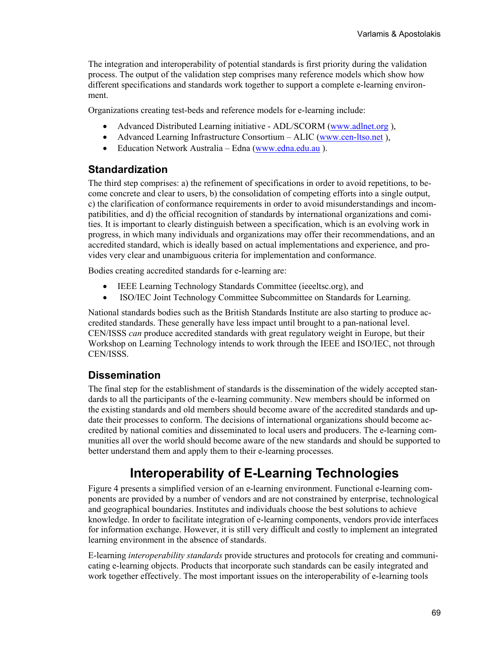The integration and interoperability of potential standards is first priority during the validation process. The output of the validation step comprises many reference models which show how different specifications and standards work together to support a complete e-learning environment.

Organizations creating test-beds and reference models for e-learning include:

- Advanced Distributed Learning initiative ADL/SCORM (www.adlnet.org),
- Advanced Learning Infrastructure Consortium ALIC (www.cen-ltso.net),
- Education Network Australia Edna (www.edna.edu.au ).

#### **Standardization**

The third step comprises: a) the refinement of specifications in order to avoid repetitions, to become concrete and clear to users, b) the consolidation of competing efforts into a single output, c) the clarification of conformance requirements in order to avoid misunderstandings and incompatibilities, and d) the official recognition of standards by international organizations and comities. It is important to clearly distinguish between a specification, which is an evolving work in progress, in which many individuals and organizations may offer their recommendations, and an accredited standard, which is ideally based on actual implementations and experience, and provides very clear and unambiguous criteria for implementation and conformance.

Bodies creating accredited standards for e-learning are:

- IEEE Learning Technology Standards Committee (ieeeltsc.org), and
- ISO/IEC Joint Technology Committee Subcommittee on Standards for Learning.

National standards bodies such as the British Standards Institute are also starting to produce accredited standards. These generally have less impact until brought to a pan-national level. CEN/ISSS *can* produce accredited standards with great regulatory weight in Europe, but their Workshop on Learning Technology intends to work through the IEEE and ISO/IEC, not through CEN/ISSS.

#### **Dissemination**

The final step for the establishment of standards is the dissemination of the widely accepted standards to all the participants of the e-learning community. New members should be informed on the existing standards and old members should become aware of the accredited standards and update their processes to conform. The decisions of international organizations should become accredited by national comities and disseminated to local users and producers. The e-learning communities all over the world should become aware of the new standards and should be supported to better understand them and apply them to their e-learning processes.

# **Interoperability of E-Learning Technologies**

Figure 4 presents a simplified version of an e-learning environment. Functional e-learning components are provided by a number of vendors and are not constrained by enterprise, technological and geographical boundaries. Institutes and individuals choose the best solutions to achieve knowledge. In order to facilitate integration of e-learning components, vendors provide interfaces for information exchange. However, it is still very difficult and costly to implement an integrated learning environment in the absence of standards.

E-learning *interoperability standards* provide structures and protocols for creating and communicating e-learning objects. Products that incorporate such standards can be easily integrated and work together effectively. The most important issues on the interoperability of e-learning tools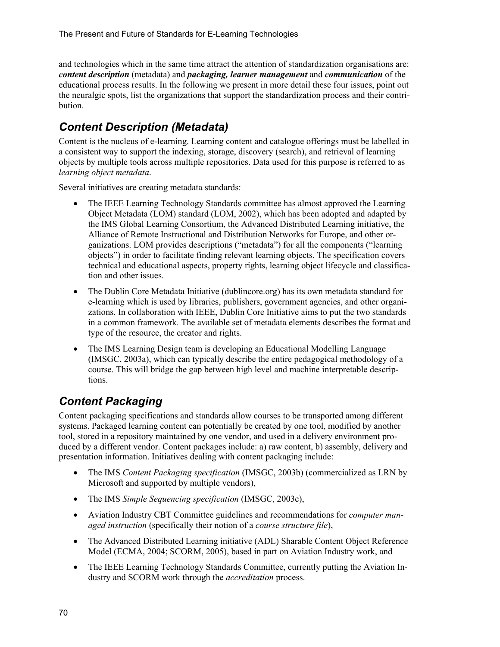and technologies which in the same time attract the attention of standardization organisations are: *content description* (metadata) and *packaging, learner management* and *communication* of the educational process results. In the following we present in more detail these four issues, point out the neuralgic spots, list the organizations that support the standardization process and their contribution.

### *Content Description (Metadata)*

Content is the nucleus of e-learning. Learning content and catalogue offerings must be labelled in a consistent way to support the indexing, storage, discovery (search), and retrieval of learning objects by multiple tools across multiple repositories. Data used for this purpose is referred to as *learning object metadata*.

Several initiatives are creating metadata standards:

- The IEEE Learning Technology Standards committee has almost approved the Learning Object Metadata (LOM) standard (LOM, 2002), which has been adopted and adapted by the IMS Global Learning Consortium, the Advanced Distributed Learning initiative, the Alliance of Remote Instructional and Distribution Networks for Europe, and other organizations. LOM provides descriptions ("metadata") for all the components ("learning objects") in order to facilitate finding relevant learning objects. The specification covers technical and educational aspects, property rights, learning object lifecycle and classification and other issues.
- The Dublin Core Metadata Initiative (dublincore.org) has its own metadata standard for e-learning which is used by libraries, publishers, government agencies, and other organizations. In collaboration with IEEE, Dublin Core Initiative aims to put the two standards in a common framework. The available set of metadata elements describes the format and type of the resource, the creator and rights.
- The IMS Learning Design team is developing an Educational Modelling Language (IMSGC, 2003a), which can typically describe the entire pedagogical methodology of a course. This will bridge the gap between high level and machine interpretable descriptions.

# *Content Packaging*

Content packaging specifications and standards allow courses to be transported among different systems. Packaged learning content can potentially be created by one tool, modified by another tool, stored in a repository maintained by one vendor, and used in a delivery environment produced by a different vendor. Content packages include: a) raw content, b) assembly, delivery and presentation information. Initiatives dealing with content packaging include:

- The IMS *Content Packaging specification* (IMSGC, 2003b) (commercialized as LRN by Microsoft and supported by multiple vendors),
- The IMS *Simple Sequencing specification* (IMSGC, 2003c),
- Aviation Industry CBT Committee guidelines and recommendations for *computer managed instruction* (specifically their notion of a *course structure file*),
- The Advanced Distributed Learning initiative (ADL) Sharable Content Object Reference Model (ECMA, 2004; SCORM, 2005), based in part on Aviation Industry work, and
- The IEEE Learning Technology Standards Committee, currently putting the Aviation Industry and SCORM work through the *accreditation* process.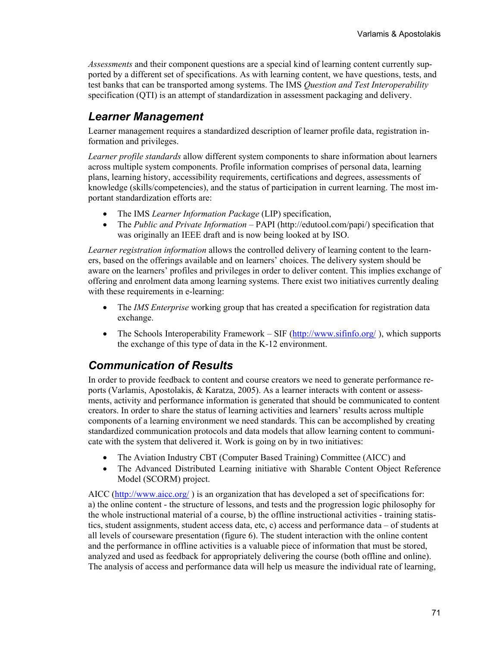*Assessments* and their component questions are a special kind of learning content currently supported by a different set of specifications. As with learning content, we have questions, tests, and test banks that can be transported among systems. The IMS *Question and Test Interoperability* specification (QTI) is an attempt of standardization in assessment packaging and delivery.

### *Learner Management*

Learner management requires a standardized description of learner profile data, registration information and privileges.

*Learner profile standards* allow different system components to share information about learners across multiple system components. Profile information comprises of personal data, learning plans, learning history, accessibility requirements, certifications and degrees, assessments of knowledge (skills/competencies), and the status of participation in current learning. The most important standardization efforts are:

- The IMS *Learner Information Package* (LIP) specification,
- The *Public and Private Information* PAPI (http://edutool.com/papi/) specification that was originally an IEEE draft and is now being looked at by ISO.

*Learner registration information* allows the controlled delivery of learning content to the learners, based on the offerings available and on learners' choices. The delivery system should be aware on the learners' profiles and privileges in order to deliver content. This implies exchange of offering and enrolment data among learning systems. There exist two initiatives currently dealing with these requirements in e-learning:

- The *IMS Enterprise* working group that has created a specification for registration data exchange.
- The Schools Interoperability Framework SIF ( $\frac{http://www.sifinfo.org/}{http://www.sifinfo.org/})$ , which supports the exchange of this type of data in the K-12 environment.

### *Communication of Results*

In order to provide feedback to content and course creators we need to generate performance reports (Varlamis, Apostolakis,  $\&$  Karatza, 2005). As a learner interacts with content or assessments, activity and performance information is generated that should be communicated to content creators. In order to share the status of learning activities and learners' results across multiple components of a learning environment we need standards. This can be accomplished by creating standardized communication protocols and data models that allow learning content to communicate with the system that delivered it. Work is going on by in two initiatives:

- The Aviation Industry CBT (Computer Based Training) Committee (AICC) and
- The Advanced Distributed Learning initiative with Sharable Content Object Reference Model (SCORM) project.

AICC (http://www.aicc.org/ ) is an organization that has developed a set of specifications for: a) the online content - the structure of lessons, and tests and the progression logic philosophy for the whole instructional material of a course, b) the offline instructional activities - training statistics, student assignments, student access data, etc, c) access and performance data – of students at all levels of courseware presentation (figure 6). The student interaction with the online content and the performance in offline activities is a valuable piece of information that must be stored, analyzed and used as feedback for appropriately delivering the course (both offline and online). The analysis of access and performance data will help us measure the individual rate of learning,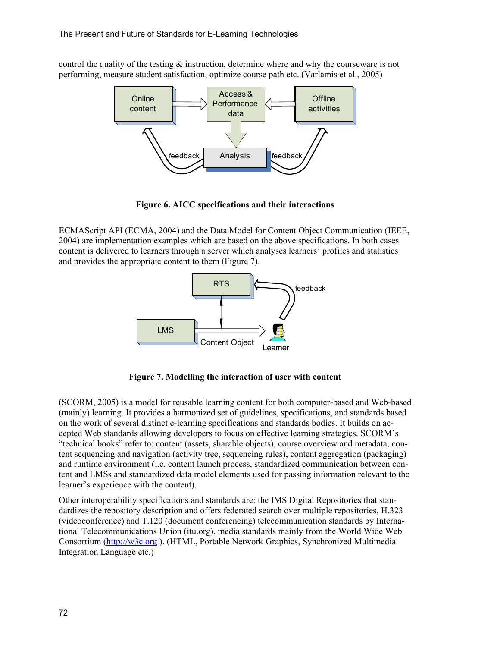control the quality of the testing  $\&$  instruction, determine where and why the courseware is not performing, measure student satisfaction, optimize course path etc. (Varlamis et al., 2005)



**Figure 6. AICC specifications and their interactions** 

ECMAScript API (ECMA, 2004) and the Data Model for Content Object Communication (IEEE, 2004) are implementation examples which are based on the above specifications. In both cases content is delivered to learners through a server which analyses learners' profiles and statistics and provides the appropriate content to them (Figure 7).



**Figure 7. Modelling the interaction of user with content** 

(SCORM, 2005) is a model for reusable learning content for both computer-based and Web-based (mainly) learning. It provides a harmonized set of guidelines, specifications, and standards based on the work of several distinct e-learning specifications and standards bodies. It builds on accepted Web standards allowing developers to focus on effective learning strategies. SCORM's "technical books" refer to: content (assets, sharable objects), course overview and metadata, content sequencing and navigation (activity tree, sequencing rules), content aggregation (packaging) and runtime environment (i.e. content launch process, standardized communication between content and LMSs and standardized data model elements used for passing information relevant to the learner's experience with the content).

Other interoperability specifications and standards are: the IMS Digital Repositories that standardizes the repository description and offers federated search over multiple repositories, H.323 (videoconference) and T.120 (document conferencing) telecommunication standards by International Telecommunications Union (itu.org), media standards mainly from the World Wide Web Consortium (http://w3c.org ). (HTML, Portable Network Graphics, Synchronized Multimedia Integration Language etc.)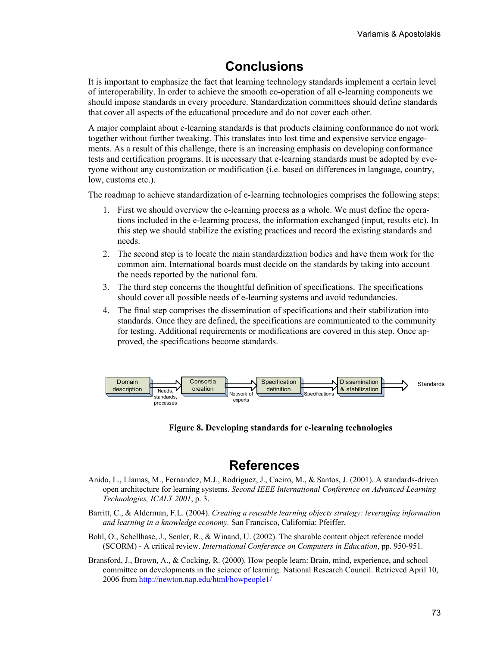# **Conclusions**

It is important to emphasize the fact that learning technology standards implement a certain level of interoperability. In order to achieve the smooth co-operation of all e-learning components we should impose standards in every procedure. Standardization committees should define standards that cover all aspects of the educational procedure and do not cover each other.

A major complaint about e-learning standards is that products claiming conformance do not work together without further tweaking. This translates into lost time and expensive service engagements. As a result of this challenge, there is an increasing emphasis on developing conformance tests and certification programs. It is necessary that e-learning standards must be adopted by everyone without any customization or modification (i.e. based on differences in language, country, low, customs etc.).

The roadmap to achieve standardization of e-learning technologies comprises the following steps:

- 1. First we should overview the e-learning process as a whole. We must define the operations included in the e-learning process, the information exchanged (input, results etc). In this step we should stabilize the existing practices and record the existing standards and needs.
- 2. The second step is to locate the main standardization bodies and have them work for the common aim. International boards must decide on the standards by taking into account the needs reported by the national fora.
- 3. The third step concerns the thoughtful definition of specifications. The specifications should cover all possible needs of e-learning systems and avoid redundancies.
- 4. The final step comprises the dissemination of specifications and their stabilization into standards. Once they are defined, the specifications are communicated to the community for testing. Additional requirements or modifications are covered in this step. Once approved, the specifications become standards.



**Figure 8. Developing standards for e-learning technologies** 

### **References**

- Anido, L., Llamas, M., Fernandez, M.J., Rodriguez, J., Caeiro, M., & Santos, J. (2001). A standards-driven open architecture for learning systems. *Second IEEE International Conference on Advanced Learning Technologies, ICALT 2001*, p. 3.
- Barritt, C., & Alderman, F.L. (2004). *Creating a reusable learning objects strategy: leveraging information and learning in a knowledge economy.* San Francisco, California: Pfeiffer.
- Bohl, O., Schellhase, J., Senler, R., & Winand, U. (2002). The sharable content object reference model (SCORM) - A critical review. *International Conference on Computers in Education*, pp. 950-951.
- Bransford, J., Brown, A., & Cocking, R. (2000). How people learn: Brain, mind, experience, and school committee on developments in the science of learning. National Research Council. Retrieved April 10, 2006 from http://newton.nap.edu/html/howpeople1/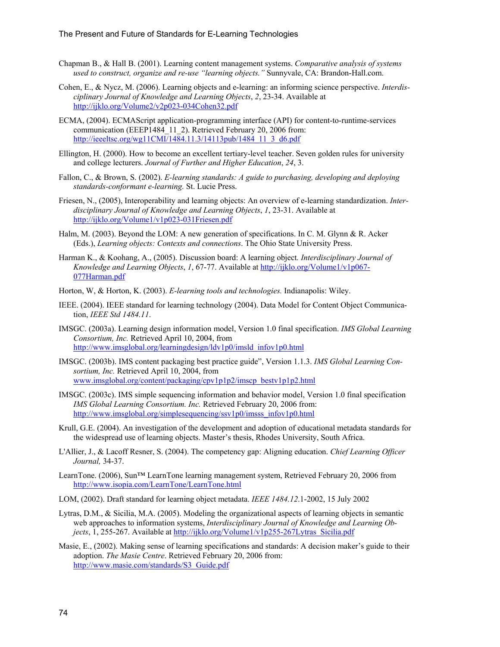- Chapman B., & Hall B. (2001). Learning content management systems. *Comparative analysis of systems used to construct, organize and re-use "learning objects."* Sunnyvale, CA: Brandon-Hall.com.
- Cohen, E., & Nycz, M. (2006). Learning objects and e-learning: an informing science perspective. *Interdisciplinary Journal of Knowledge and Learning Objects*, *2*, 23-34. Available at http://ijklo.org/Volume2/v2p023-034Cohen32.pdf
- ECMA, (2004). ECMAScript application-programming interface (API) for content-to-runtime-services communication (EEEP1484\_11\_2). Retrieved February 20, 2006 from: http://ieeeltsc.org/wg11CMI/1484.11.3/14113pub/1484\_11\_3\_d6.pdf
- Ellington, H. (2000). How to become an excellent tertiary-level teacher. Seven golden rules for university and college lecturers. *Journal of Further and Higher Education*, *24*, 3.
- Fallon, C., & Brown, S. (2002). *E-learning standards: A guide to purchasing, developing and deploying standards-conformant e-learning.* St. Lucie Press.
- Friesen, N., (2005), Interoperability and learning objects: An overview of e-learning standardization. *Interdisciplinary Journal of Knowledge and Learning Objects*, *1*, 23-31. Available at http://ijklo.org/Volume1/v1p023-031Friesen.pdf
- Halm, M. (2003). Beyond the LOM: A new generation of specifications. In C. M. Glynn & R. Acker (Eds.), *Learning objects: Contexts and connections*. The Ohio State University Press.
- Harman K., & Koohang, A., (2005). Discussion board: A learning object*. Interdisciplinary Journal of Knowledge and Learning Objects*, *1*, 67-77. Available at http://ijklo.org/Volume1/v1p067- 077Harman.pdf
- Horton, W, & Horton, K. (2003). *E-learning tools and technologies.* Indianapolis: Wiley.
- IEEE. (2004). IEEE standard for learning technology (2004). Data Model for Content Object Communication, *IEEE Std 1484.11*.
- IMSGC. (2003a). Learning design information model, Version 1.0 final specification. *IMS Global Learning Consortium, Inc.* Retrieved April 10, 2004, from http://www.imsglobal.org/learningdesign/ldv1p0/imsld\_infov1p0.html
- IMSGC. (2003b). IMS content packaging best practice guide", Version 1.1.3. *IMS Global Learning Consortium, Inc.* Retrieved April 10, 2004, from www.imsglobal.org/content/packaging/cpv1p1p2/imscp\_bestv1p1p2.html
- IMSGC. (2003c). IMS simple sequencing information and behavior model, Version 1.0 final specification *IMS Global Learning Consortium. Inc.* Retrieved February 20, 2006 from: http://www.imsglobal.org/simplesequencing/ssv1p0/imsss\_infov1p0.html
- Krull, G.E. (2004). An investigation of the development and adoption of educational metadata standards for the widespread use of learning objects. Master's thesis, Rhodes University, South Africa.
- L'Allier, J., & Lacoff Resner, S. (2004). The competency gap: Aligning education. *Chief Learning Officer Journal,* 34-37.
- LearnTone. (2006), Sun™ LearnTone learning management system, Retrieved February 20, 2006 from http://www.isopia.com/LearnTone/LearnTone.html
- LOM, (2002). Draft standard for learning object metadata. *IEEE 1484.12*.1-2002, 15 July 2002
- Lytras, D.M., & Sicilia, M.A. (2005). Modeling the organizational aspects of learning objects in semantic web approaches to information systems, *Interdisciplinary Journal of Knowledge and Learning Objects*, 1, 255-267. Available at http://ijklo.org/Volume1/v1p255-267Lytras Sicilia.pdf
- Masie, E., (2002). Making sense of learning specifications and standards: A decision maker's guide to their adoption. *The Masie Centre*. Retrieved February 20, 2006 from: http://www.masie.com/standards/S3\_Guide.pdf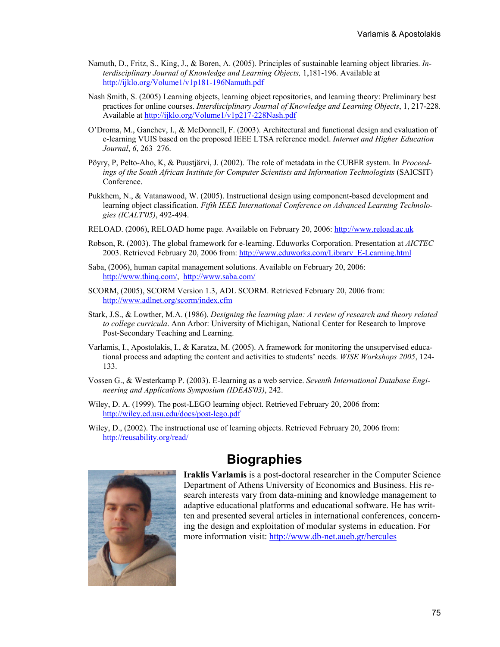- Namuth, D., Fritz, S., King, J., & Boren, A. (2005). Principles of sustainable learning object libraries. *Interdisciplinary Journal of Knowledge and Learning Objects,* 1,181-196. Available at http://ijklo.org/Volume1/v1p181-196Namuth.pdf
- Nash Smith, S. (2005) Learning objects, learning object repositories, and learning theory: Preliminary best practices for online courses. *Interdisciplinary Journal of Knowledge and Learning Objects*, 1, 217-228. Available at http://ijklo.org/Volume1/v1p217-228Nash.pdf
- O'Droma, M., Ganchev, I., & McDonnell, F. (2003). Architectural and functional design and evaluation of e-learning VUIS based on the proposed IEEE LTSA reference model. *Internet and Higher Education Journal*, *6*, 263–276.
- Pöyry, P, Pelto-Aho, K, & Puustjärvi, J. (2002). The role of metadata in the CUBER system. In *Proceedings of the South African Institute for Computer Scientists and Information Technologists* (SAICSIT) Conference.
- Pukkhem, N., & Vatanawood, W. (2005). Instructional design using component-based development and learning object classification. *Fifth IEEE International Conference on Advanced Learning Technologies (ICALT'05)*, 492-494.
- RELOAD. (2006), RELOAD home page. Available on February 20, 2006: http://www.reload.ac.uk
- Robson, R. (2003). The global framework for e-learning. Eduworks Corporation. Presentation at *AICTEC* 2003. Retrieved February 20, 2006 from: http://www.eduworks.com/Library\_E-Learning.html
- Saba, (2006), human capital management solutions. Available on February 20, 2006: http://www.thinq.com/, http://www.saba.com/
- SCORM, (2005), SCORM Version 1.3, ADL SCORM. Retrieved February 20, 2006 from: http://www.adlnet.org/scorm/index.cfm
- Stark, J.S., & Lowther, M.A. (1986). *Designing the learning plan: A review of research and theory related to college curricula*. Ann Arbor: University of Michigan, National Center for Research to Improve Post-Secondary Teaching and Learning.
- Varlamis, I., Apostolakis, I., & Karatza, M. (2005). A framework for monitoring the unsupervised educational process and adapting the content and activities to students' needs. *WISE Workshops 2005*, 124- 133.
- Vossen G., & Westerkamp P. (2003). E-learning as a web service. *Seventh International Database Engineering and Applications Symposium (IDEAS'03)*, 242.
- Wiley, D. A. (1999). The post-LEGO learning object. Retrieved February 20, 2006 from: http://wiley.ed.usu.edu/docs/post-lego.pdf
- Wiley, D., (2002). The instructional use of learning objects. Retrieved February 20, 2006 from: http://reusability.org/read/



# **Biographies**

**Iraklis Varlamis** is a post-doctoral researcher in the Computer Science Department of Athens University of Economics and Business. His research interests vary from data-mining and knowledge management to adaptive educational platforms and educational software. He has written and presented several articles in international conferences, concerning the design and exploitation of modular systems in education. For more information visit: http://www.db-net.aueb.gr/hercules